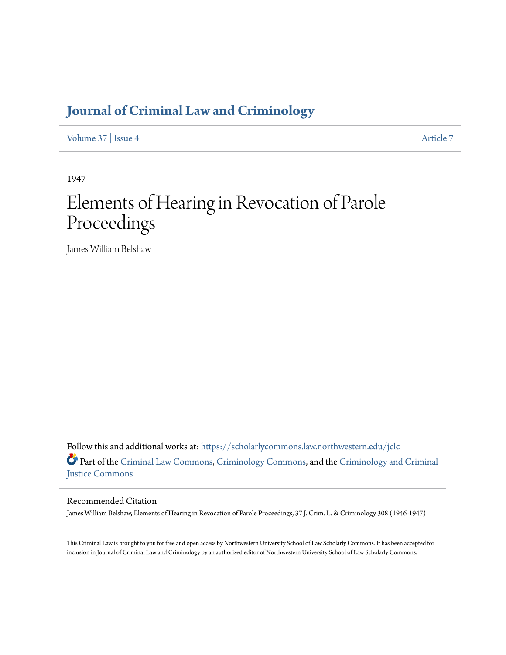## **[Journal of Criminal Law and Criminology](https://scholarlycommons.law.northwestern.edu/jclc?utm_source=scholarlycommons.law.northwestern.edu%2Fjclc%2Fvol37%2Fiss4%2F7&utm_medium=PDF&utm_campaign=PDFCoverPages)**

[Volume 37](https://scholarlycommons.law.northwestern.edu/jclc/vol37?utm_source=scholarlycommons.law.northwestern.edu%2Fjclc%2Fvol37%2Fiss4%2F7&utm_medium=PDF&utm_campaign=PDFCoverPages) | [Issue 4](https://scholarlycommons.law.northwestern.edu/jclc/vol37/iss4?utm_source=scholarlycommons.law.northwestern.edu%2Fjclc%2Fvol37%2Fiss4%2F7&utm_medium=PDF&utm_campaign=PDFCoverPages) [Article 7](https://scholarlycommons.law.northwestern.edu/jclc/vol37/iss4/7?utm_source=scholarlycommons.law.northwestern.edu%2Fjclc%2Fvol37%2Fiss4%2F7&utm_medium=PDF&utm_campaign=PDFCoverPages)

1947

## Elements of Hearing in Revocation of Parole Proceedings

James William Belshaw

Follow this and additional works at: [https://scholarlycommons.law.northwestern.edu/jclc](https://scholarlycommons.law.northwestern.edu/jclc?utm_source=scholarlycommons.law.northwestern.edu%2Fjclc%2Fvol37%2Fiss4%2F7&utm_medium=PDF&utm_campaign=PDFCoverPages) Part of the [Criminal Law Commons](http://network.bepress.com/hgg/discipline/912?utm_source=scholarlycommons.law.northwestern.edu%2Fjclc%2Fvol37%2Fiss4%2F7&utm_medium=PDF&utm_campaign=PDFCoverPages), [Criminology Commons](http://network.bepress.com/hgg/discipline/417?utm_source=scholarlycommons.law.northwestern.edu%2Fjclc%2Fvol37%2Fiss4%2F7&utm_medium=PDF&utm_campaign=PDFCoverPages), and the [Criminology and Criminal](http://network.bepress.com/hgg/discipline/367?utm_source=scholarlycommons.law.northwestern.edu%2Fjclc%2Fvol37%2Fiss4%2F7&utm_medium=PDF&utm_campaign=PDFCoverPages) [Justice Commons](http://network.bepress.com/hgg/discipline/367?utm_source=scholarlycommons.law.northwestern.edu%2Fjclc%2Fvol37%2Fiss4%2F7&utm_medium=PDF&utm_campaign=PDFCoverPages)

## Recommended Citation

James William Belshaw, Elements of Hearing in Revocation of Parole Proceedings, 37 J. Crim. L. & Criminology 308 (1946-1947)

This Criminal Law is brought to you for free and open access by Northwestern University School of Law Scholarly Commons. It has been accepted for inclusion in Journal of Criminal Law and Criminology by an authorized editor of Northwestern University School of Law Scholarly Commons.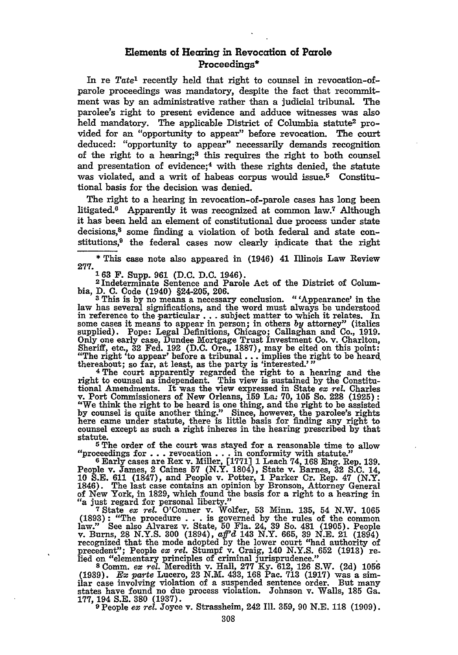## Elements of Hearing in Revocation of Parole Proceedings\*

In re *Tate1* recently held that right to counsel in revocation-ofparole proceedings was mandatory, despite the fact that recommitment was by an administrative rather than a judicial tribunal. The parolee's right to present evidence and adduce witnesses was also held mandatory. The applicable District of Columbia statute<sup>2</sup> provided for an "opportunity to appear" before revocation. The court deduced: "opportunity to appear" necessarily demands recognition of the right to a hearing;3 this requires the right to both counsel and presentation of evidence;<sup>4</sup> with these rights denied, the statute was violated, and a writ of habeas corpus would issue.<sup>5</sup> Constitutional basis for the decision was denied.

The right to a hearing in revocation-of-parole cases has long been litigated.6 Apparently it was recognized at common law.7 Although it has been held an element of constitutional due process under state decisions,8 some finding a violation of both federal and state constitutions,9 the federal cases now clearly indicate that the right

**\*** This case note also appeared in (1946) 41 Illinois Law Review

**277. <sup>163</sup>**2 F. Supp. **961** (D.C. D.C. 1946). **Indeterminate** Sentence and **Parole Act** of **the** District of Colum-

bia, D. C. Code (1940) §24-205, 206.<br><sup>3</sup> This is by no means a necessary conclusion. "'Appearance' in the<br>law has several significations, and the word must always be understood in reference to the particular... subject matter to which it relates. In some cases it means to appear in person; in others by attorney" (italics supplied). Pope: Legal Definitions, Chicago; Callaghan and Co., 1919. Only one early case, Dundee Mortgage Trust Investment Co. v. Charlton, Sheriff, etc., 32 Fed. **192 (D.C.** Ore., **1887),** may be cited on this point: "The right 'to appear' before a tribunal.., implies the right to be heard. the right to appear before a tribunar ... implies the function of the reabout; so far, at least, as the party is 'interested.'

**4 The** court apparently regarded the right to a hearing and the right to counsel as independent. This view is sustained **by** the Constitutional Amendments. It was the view expressed in State *ex rel.* Charles v. Port Commissioners of New Orleans, **159** *La:* **70, 105** So. 228 **(1925):** "We think the right to be heard is one thing, and the right to be assisted **by** counsel is quite another thing." Since, however, the parolee's rights here came under statute, there is little basis for finding any right to counsel except as such a right inheres in the hearing prescribed **by** that statute.<br>5 The order of the court was stayed for a reasonable time to allow

**5 The** order of the court was stayed for a reasonable time to allow "proceedings for **.. .**revocation **.. .**in conformity with statute." **6** Early cases are Rex v. Miller, **[1771] 1** Leach **74, 168** Eng. Rep. **139.**

People v. James, 2 Caines **57** (N.Y. 1804), State v. Barnes, **32 S.C.** 14, **10 S.E. 611 (1847),** and People v. Potter, **1** Parker Cr. Rep. 47 (N.Y. 1846). The last case contains an opinion **by** Bronson, Attorney General of New York, in **1829,** which found the basis for a right to a hearing in *"a* just regard for personal liberty."

**<sup>7</sup>**State *ex rel.* O'Conner v. Wolfer, **53** Minn. **135,** 54 N.W. **1065** (1893): "The procedure . . . is governed by the rules of the common<br>law." See also Alvarez v. State, 50 Fla. 24, 39 So. 481 (1905). People<br>v. Burns, 28 N.Y.S. 300 (1894), aff'd 143 N.Y. 665, 39 N.E. 21 (1894) recognized that the mode adopted by the lower court "had authority of precedent"; People *ex rel.* Stumpf v. Craig, 140 N.Y.S. **652** (1913) **re-** led on "elementary principles of criminal jurisprudence."

<sup>8</sup> Comm. ex rel. Meredith v. Hall, 277 Ky. 612, 126 S.W. (2d) 1056<br>(1939). *Ex parte* Lucero, 23 N.M. 433, 168 Pac. 713 (1917) was a sim-<br>ilar case involving violation of a suspended sentence order. But many states have found no due process violation. Johnson v. Walls, **185** Ga. **177, 194 S.E. 380 (1937). 9** People *ex rel.* Joyce v. Strassheim, 242 Ill. **359, 90 N.E. 118 (1909).**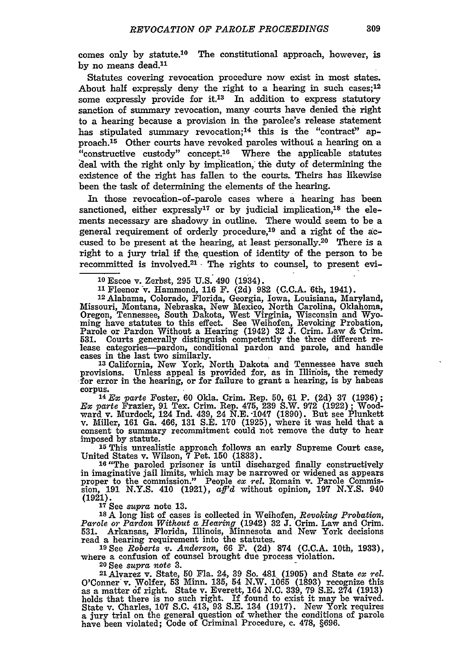comes only by statute.'0 The constitutional approach, however, is by no means dead.<sup>11</sup>

Statutes covering revocation procedure now exist in most states. About half expressly deny the right to a hearing in such cases;<sup>12</sup> some expressly provide for it.<sup>13</sup> In addition to express statutory sanction of summary revocation, many courts have denied the right to a hearing because a provision in the parolee's release statement has stipulated summary revocation;<sup>14</sup> this is the "contract" approach.15 Other courts have revoked paroles without a hearing on a "constructive custody" concept.16 Where the applicable statutes deal with the right only by implication, the duty of determining the existence of the right has fallen to the courts. Theirs has likewise been the task of determining the elements of the hearing.

In those revocation-of-parole cases where a hearing has been sanctioned, either expressly<sup>17</sup> or by judicial implication,<sup>18</sup> the elements necessary are shadowy in outline. There would seem to be a general requirement of orderly procedure,19 and a right of the **ae**cused to be present at the hearing, at least personally.20 There is a right to a jury trial if the, question of identity of the person to be recommitted is involved.<sup>21</sup> The rights to counsel, to present evi-

**<sup>10</sup>**Escoe v. Zerbst, **295 U.S.** 490 (1934).

11 Fleenor v. Hammond, **116 F.** (2d) 982 **(C.C.A.** 6th, 1941).

12Alabama, Colorado, Florida, Georgia, Iowa, Louisiana, Maryland, Missouri, Montana, Nebraska, New Mexico, North Carolina, Oklahoma, Oregon, Tennessee, South Dakota, West Virginia, Wisconsin and Wyo- ming have statutes to this effect. See Weihofen, Revoking Probation, Parole or Pardon Without a Hearing (1942) **32 J.** Crim. Law & Crim. lease categories—pardon, conditional pardon and parole, and handle cases in the last two similarly.<br>
<sup>13</sup> California, New York, North Dakota and Tennessee have such

provisions. Unless appeal is provided for, as in Illinois, the remedy for error in the hearing, or for failure to grant a hearing, is by habeas corpus.**'14** *EX parte* Foster, 60 Okla. Crim. Rep. 50, 61 P. (2d) **37** (1936);

*Ex parte* Frazier, **91** Tex. Crim. Rep. 475, **239** S.W. **972** (1922); Woodward v. Murdock, 124 Ind. 439, 24 N.E. 1047 (1890). But see Plunkett v. Miller, 161 Ga. 466, 131 S.E. 170 (1925), where it was held that a consent to summary recommitment could not remove the duty to heal imposed by statute.

**<sup>15</sup>**This unrealistic approach follows an early Supreme Court case, United States v. Wilson, **7** Pet. **150** (1833).

**<sup>16</sup>**"The paroled prisoner is until discharged finally constructively in imaginative jail limits, which may be narrowed or widened as appears proper to the commission." People *ex rel.* Romain v. Parole Commission, **191** N.Y.S. 410 (1921), *aff'd* without opinion, **197** N.Y.S. 940 (1921).

**<sup>17</sup>**See *supra* note **13.**

**is** A long list of cases is collected in Weihofen, *Revoking* Probation, *Parole or Pardon Without a Hearing* (1942) **32 J.** Crim. Law and Crim. 531. Arkansas, Florida, Illinois, Minnesota and New York decisions read a hearing requirement into the statutes.

**<sup>19</sup>**See *Roberts v. Anderson,* 66 F. (2d) **874** (C.C.A. 10th, 1933), where a confusion of counsel brought due process violation.

**<sup>20</sup>**See *supra note* 3.

21 Alvarez v. State, 50 Fla. 24, 39 So. 481, (1905) and State *ex rel.* O'Conner v. Wolfer, 53 Minn. 135, 54 N.W. 1065 (1893) recognize this as a matter **6f** right. State v. Everett, 164 N.C. 339, 79 S.E. 274 (1913) holds that there is no such right. If found to exist it may be waived. State v. Charles, **107** S.C. 413, 93 S.E. 134 (1917). New York requires a jury trial on the general question of whether the conditions of parole have been violated; Code of Criminal Procedure, c. 478, §696.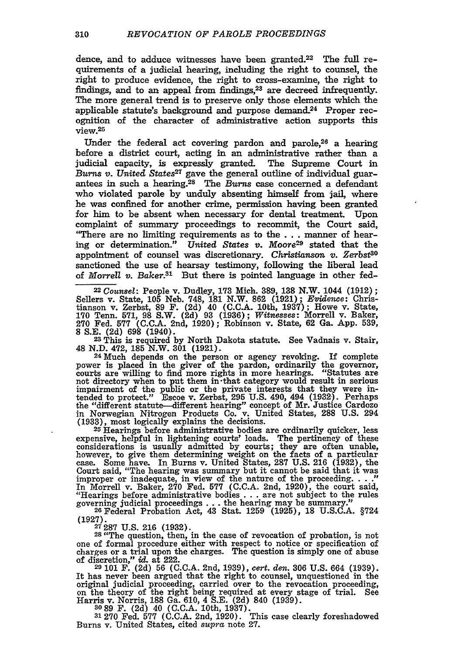dence, and to adduce witnesses have been granted.22 The full requirements of a judicial hearing, including the right to counsel, the right to produce evidence, the right to cross-examine, the right to findings, and to an appeal from findings,<sup>23</sup> are decreed infrequently The more general trend is to preserve only those elements which the applicable statute's background and purpose demand\_24 Proper recognition of the character of administrative action supports this view.<sup>25</sup>

Under the federal act covering pardon and parole, $26$  a hearing before a district court, acting in an administrative rather than a judicial capacity, is expressly granted. The Supreme Court in *Burns v. United States27* gave the general outline of individual guarantees in such a hearing.28 The *Burns* case concerned a defendant who violated parole by unduly absenting himself from jail, where he was confined for another crime, permission having been granted for him to be absent when necessary for dental treatment. Upon complaint of summary proceedings to recommit, the Court said, "There are no limiting requirements as to the . . . manner of hearing or determination." *United States* v. Moore29 stated that the appointment of counsel was discretionary. Christianson v. Zerbst<sup>30</sup> sanctioned the use of hearsay testimony, following the liberal lead of *Morrell v. Baker.3s* But there is pointed language in other fed-

*Counsel:* People v. Dudley, **173** Mich. **389, 138** N.W. 1044 **(1912) ;** Sellers v. State, **105** Neb. **748, 181** N.W. **862 (1921);** *Evidence:* Chris-tianson v. Zerbst, **89** F. **(2d)** 40 **(C.C.A.** 10th, **1937);** Howe v. State, Tenn. **571, 98** S.W. **(2d) 93 (1936);** *Witnesses:* Morrell v. Baker, Fed. **577 (C.C.A.** 2nd, **1920);** Robinson v. State, **62** Ga. **App. 539,**

**8 S.E. (2d) 698 (1940). 23** This is required by North Dakota statute. See Vadnais v. Stair, <br> **23 This is required by North Dakota statute.** See Vadnais v. Stair, <br> **23 N.D. 472, 185 N.W. 301 (1921).** <sup>48</sup>**N.D.** 472, **185** N.W. **301 (1921).** <sup>24</sup>**Much** depends on the person or agency revoking. If complete

power is placed in the giver of the pardon, ordinarily the governor, courts are willing to find more rights in more hearings. "Statutes are not directory when to put them in-that category would result in serious impairment of the public or the private interests that they were intended to protect." Escoe v. Zerbst, 295 U.S. 490, 494 (1932). Perhaps the "different statute-different hearing" concept of Mr. Justice Cardozo in Norwegia **(1933),** most logically explains the decisions. **25 Hearings** before administrative bodies are ordinarily quicker, less

expensive, helpful in lightening courts' loads. The pertinency of these considerations is usually admitted **by** courts; they are often unable, however, to give them determining weight on the facts of a particular case. Some have. In Burns v. United States, **287 U.S. 216 (1932),** the Court said, "The hearing was summary but it cannot be said that it was<br>improper or inadequate, in view of the nature of the proceeding...."<br>In Morrell v. Baker, 270 Fed. 577 (C.C.A. 2nd, 1920), the court said,<br>"Hearings be governing judicial proceedings **. . .** the hearing may be summary." **26Federal** Probation Act, 43 Stat. **1259 (1925), 18 U.S.C.A.** §724

**(1927). 27 287 U.S. 216 (1932).**

**<sup>28</sup>**"The question, then, in the case of revocation of probation, is not one of formal procedure either with respect to notice or specification of charges or a trial upon the charges. The question is simply one of abuse of discretion," *id.* at 222. **29 101** F. (2d) **56 (C.C.A.** 2nd, 1939), cert. *den.* **306** U.S. 664 **(1939).**

It has never been argued that the right to counsel, unquestioned in the original judicial proceeding, carried over to the revocation proceeding, on the theory of the right being required at every stage of trial. See Harris v. Norris, **188** Ga. 610, 4 S.E. (2d) 840 (1939). **<sup>3089</sup>**F. (2d) 40 **(C.C.A.** 10th, 1937).

**31 270** Fed. **577** (C.C.A. 2nd, 1920). This case clearly foreshadowed Burns v. United States, cited *supra* note **27.**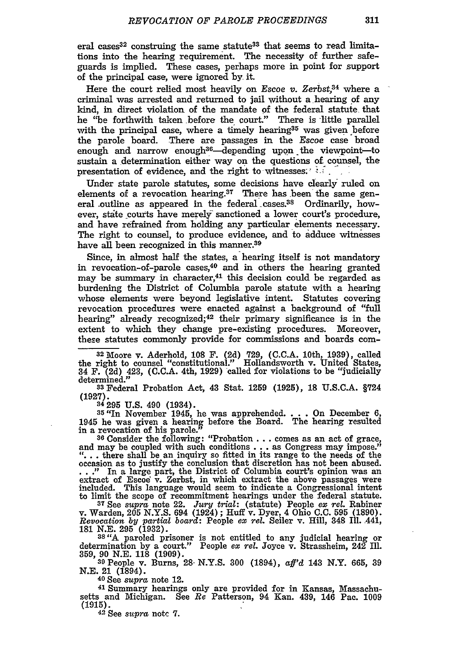eral cases<sup>32</sup> construing the same statute<sup>33</sup> that seems to read limitations into the hearing requirement. The necessity of further safeguards is implied. These cases, perhaps more in point for support of the principal case, were ignored **by-** it.

Here the court relied most heavily on *Escoe v. Zerbst*<sup>34</sup> where a criminal was arrested and returned to jail without a hearing **of** any kind, in direct violation of the mandate **of** the federal statute that he "be forthwith taken before the court." There is little parallel with the principal case, where a timely hearing<sup>35</sup> was given before the parole board. There are passages in the Escoe case broad enough and narrow enough<sup>36</sup>—depending upon the viewpoint—to sustain a determination either way on the questions **of counsel,** the presentation of evidence, and the right to witnesses:" **.**

Under state parole statutes, some decisions have clearly: ruled on elements of a revocation hearing. $37$  There has been the same general outline as appeared in the federal cases.<sup>38</sup> Ordinarily, however, state courts have merely sanctioned a lower court's procedure, and have refrained from holding any particular elements necessary. The right to counsel, to produce evidence, and to adduce witnesses have all been recognized in this manner.<sup>39</sup>

Since, in almost half the states, a hearing itself is not mandatory in revocation-of-parole cases, $40$  and in others the hearing granted may be summary in character, $41$  this decision could be regarded as burdening the District of Columbia parole statute with a hearing whose elements were beyond legislative intent. Statutes covering revocation procedures were enacted against a background of "full bearing" already recognized; 42 their primary significance is in the extent to which they change pre-existing procedures. Moreover, these statutes commonly provide for commissions and boards com-

**<sup>32</sup>**Moore v. Aderhold, **108** F. **(2d) 729, (C.C.A.** 10th, **1939),** called the right to counsel "constitutional." Hollandsworth v. United States, 34 F. **(2d)** 423, **(C.C.A.** 4th, **1929)** called for violations to be "judicially determined." **<sup>33</sup>**Federal Probation Act, 43 Stat. **1259 (1925), 18 U.S.C.A.** §724

(1927).<br><sup>34</sup> 295 U.S. 490 (1934).

**34 295 U.S.** 490 (1934). **<sup>35</sup>**"In November 1945, he was apprehended. **. . .** On December **6,** 1945 he was given a hearing before the Board. The hearing resulted in a revocation of his parole." **36**<br>36 Consider the following: "Probation... comes as an act of grace

and may be coupled with such conditions **. . .** as Congress may impose." **"...** there shall be an **inquiry so** fitted in its range to the needs of the occasion as to justify the conclusion that discretion has not been abused. consistent and solution of Columbia court's opinion was an extract of Escoe' v. Zerbst, in which extract the above passages were included. This language would seem to indicate a Congressional intent to limit the scope of r

**<sup>37</sup>**See *supra* note 22. *Jury* trial: (statute) People *ex rel.* Rabiner v. Warden, **205 N.Y.S.** 694 (1924); Huff v. Dyer, 4 Ohio **C.C. 595 (1890).** *Revocation by partial board:* People *ex rel.* Seiler v. Hill, 348 **Ill.** 441, **181 N.E. 295 (1932). <sup>38</sup>***"A* paroled prisoner is not entitled to any judicial hearing or

determination **by** a court." People *ex rel.* Joyce v. Strassheim, 242 **Ill. 359, 90 N.E. 118 (1909).**

**<sup>39</sup>**People v. Burns, **28- N.Y.S. 300** (1894), *aff'd* 143 N.Y. **665, 39 N.E.** 21 (1894). **40 See** *supra* note 12.

**41** Summary hearings only are provided for in Kansas, Massachusetts and Michigan. See *Re* Patterson, 94 Kan. 439, **146** Pac. **1009 (1915). 42** See *supra* notc **7.**